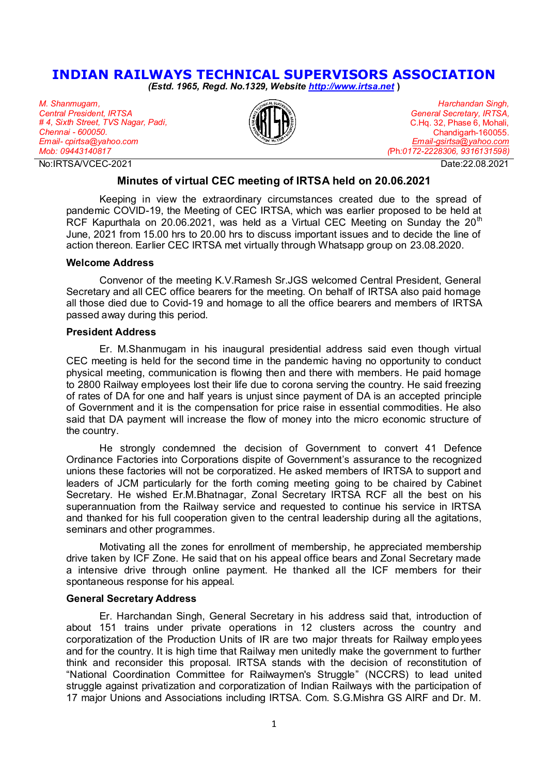# **INDIAN RAILWAYS TECHNICAL SUPERVISORS ASSOCIATION**

*(Estd. 1965, Regd. No.1329, Website [http://www.irtsa.net](http://www.irtsa.net/)* **)** 

*M. Shanmugam, Central President, IRTSA # 4, Sixth Street, TVS Nagar, Padi, Chennai - 600050. Email- cpirtsa@yahoo.com Mob: 09443140817*

No:IRTSA/VCEC-2021 Date:22.08.2021



*Harchandan Singh, General Secretary, IRTSA,*  C.Hq. 32, Phase 6, Mohali, Chandigarh-160055. *[Email-gsirtsa@yahoo.com](mailto:Email-gsirtsa@yahoo.com)  (*Ph*:0172-2228306, 9316131598)*

### **Minutes of virtual CEC meeting of IRTSA held on 20.06.2021**

Keeping in view the extraordinary circumstances created due to the spread of pandemic COVID-19, the Meeting of CEC IRTSA, which was earlier proposed to be held at RCF Kapurthala on 20.06.2021, was held as a Virtual CEC Meeting on Sunday the 20<sup>th</sup> June, 2021 from 15.00 hrs to 20.00 hrs to discuss important issues and to decide the line of action thereon. Earlier CEC IRTSA met virtually through Whatsapp group on 23.08.2020.

#### **Welcome Address**

Convenor of the meeting K.V.Ramesh Sr.JGS welcomed Central President, General Secretary and all CEC office bearers for the meeting. On behalf of IRTSA also paid homage all those died due to Covid-19 and homage to all the office bearers and members of IRTSA passed away during this period.

#### **President Address**

Er. M.Shanmugam in his inaugural presidential address said even though virtual CEC meeting is held for the second time in the pandemic having no opportunity to conduct physical meeting, communication is flowing then and there with members. He paid homage to 2800 Railway employees lost their life due to corona serving the country. He said freezing of rates of DA for one and half years is unjust since payment of DA is an accepted principle of Government and it is the compensation for price raise in essential commodities. He also said that DA payment will increase the flow of money into the micro economic structure of the country.

He strongly condemned the decision of Government to convert 41 Defence Ordinance Factories into Corporations dispite of Government's assurance to the recognized unions these factories will not be corporatized. He asked members of IRTSA to support and leaders of JCM particularly for the forth coming meeting going to be chaired by Cabinet Secretary. He wished Er.M.Bhatnagar, Zonal Secretary IRTSA RCF all the best on his superannuation from the Railway service and requested to continue his service in IRTSA and thanked for his full cooperation given to the central leadership during all the agitations, seminars and other programmes.

Motivating all the zones for enrollment of membership, he appreciated membership drive taken by ICF Zone. He said that on his appeal office bears and Zonal Secretary made a intensive drive through online payment. He thanked all the ICF members for their spontaneous response for his appeal.

#### **General Secretary Address**

Er. Harchandan Singh, General Secretary in his address said that, introduction of about 151 trains under private operations in 12 clusters across the country and corporatization of the Production Units of IR are two major threats for Railway emplo yees and for the country. It is high time that Railway men unitedly make the government to further think and reconsider this proposal. IRTSA stands with the decision of reconstitution of "National Coordination Committee for Railwaymen's Struggle" (NCCRS) to lead united struggle against privatization and corporatization of Indian Railways with the participation of 17 major Unions and Associations including IRTSA. Com. S.G.Mishra GS AIRF and Dr. M.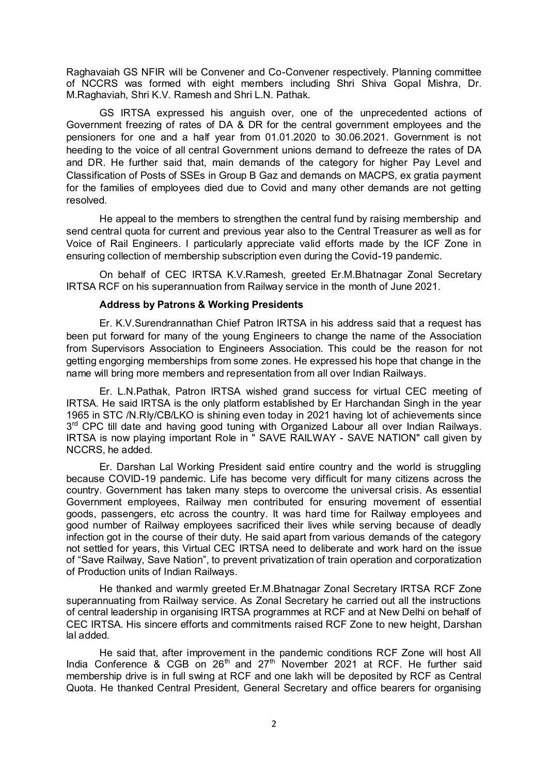Raghavaiah GS NFIR will be Convener and Co-Convener respectively. Planning committee of NCCRS was formed with eight members including Shri Shiva Gopal Mishra, Dr. M.Raghaviah, Shri K.V. Ramesh and Shri L.N. Pathak.

GS IRTSA expressed his anguish over, one of the unprecedented actions of Government freezing of rates of DA & DR for the central government employees and the pensioners for one and a half year from 01.01.2020 to 30.06.2021. Government is not heeding to the voice of all central Government unions demand to defreeze the rates of DA and DR. He further said that, main demands of the category for higher Pay Level and Classification of Posts of SSEs in Group B Gaz and demands on MACPS, ex gratia payment for the families of employees died due to Covid and many other demands are not getting resolved.

He appeal to the members to strengthen the central fund by raising membership and send central quota for current and previous year also to the Central Treasurer as well as for Voice of Rail Engineers. I particularly appreciate valid efforts made by the ICF Zone in ensuring collection of membership subscription even during the Covid-19 pandemic.

On behalf of CEC IRTSA K.V.Ramesh, greeted Er.M.Bhatnagar Zonal Secretary IRTSA RCF on his superannuation from Railway service in the month of June 2021.

## **Address by Patrons & Working Presidents**

Er. K.V.Surendrannathan Chief Patron IRTSA in his address said that a request has been put forward for many of the young Engineers to change the name of the Association from Supervisors Association to Engineers Association. This could be the reason for not getting engorging memberships from some zones. He expressed his hope that change in the name will bring more members and representation from all over Indian Railways.

Er. L.N.Pathak, Patron IRTSA wished grand success for virtual CEC meeting of IRTSA. He said IRTSA is the only platform established by Er Harchandan Singh in the year 1965 in STC /N.Rly/CB/LKO is shining even today in 2021 having lot of achievements since 3<sup>rd</sup> CPC till date and having good tuning with Organized Labour all over Indian Railways. IRTSA is now playing important Role in " SAVE RAILWAY - SAVE NATION" call given by NCCRS, he added.

Er. Darshan Lal Working President said entire country and the world is struggling because COVID-19 pandemic. Life has become very difficult for many citizens across the country. Government has taken many steps to overcome the universal crisis. As essential Government employees, Railway men contributed for ensuring movement of essential goods, passengers, etc across the country. It was hard time for Railway employees and good number of Railway employees sacrificed their lives while serving because of deadly infection got in the course of their duty. He said apart from various demands of the category not settled for years, this Virtual CEC IRTSA need to deliberate and work hard on the issue of "Save Railway, Save Nation", to prevent privatization of train operation and corporatization of Production units of Indian Railways.

He thanked and warmly greeted Er.M.Bhatnagar Zonal Secretary IRTSA RCF Zone superannuating from Railway service. As Zonal Secretary he carried out all the instructions of central leadership in organising IRTSA programmes at RCF and at New Delhi on behalf of CEC IRTSA. His sincere efforts and commitments raised RCF Zone to new height, Darshan lal added.

He said that, after improvement in the pandemic conditions RCF Zone will host All India Conference  $\&$  CGB on 26<sup>th</sup> and 27<sup>th</sup> November 2021 at RCF. He further said membership drive is in full swing at RCF and one lakh will be deposited by RCF as Central Quota. He thanked Central President, General Secretary and office bearers for organising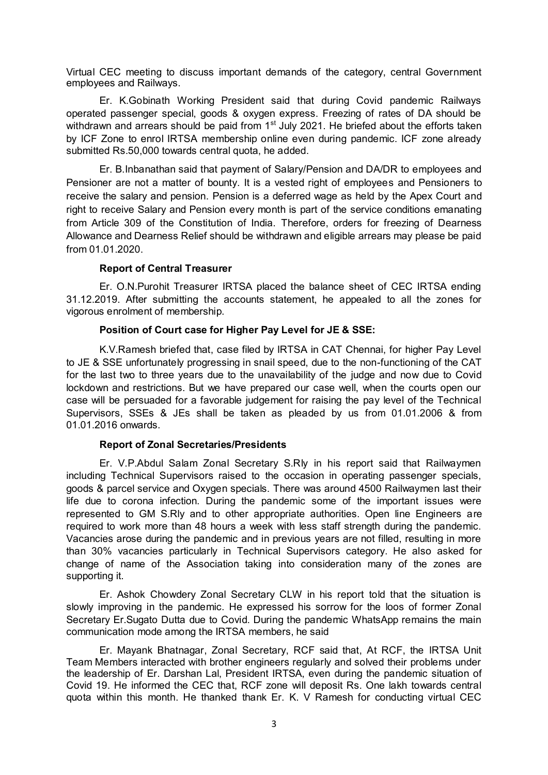Virtual CEC meeting to discuss important demands of the category, central Government employees and Railways.

Er. K.Gobinath Working President said that during Covid pandemic Railways operated passenger special, goods & oxygen express. Freezing of rates of DA should be withdrawn and arrears should be paid from 1<sup>st</sup> July 2021. He briefed about the efforts taken by ICF Zone to enrol IRTSA membership online even during pandemic. ICF zone already submitted Rs.50,000 towards central quota, he added.

Er. B.Inbanathan said that payment of Salary/Pension and DA/DR to employees and Pensioner are not a matter of bounty. It is a vested right of employees and Pensioners to receive the salary and pension. Pension is a deferred wage as held by the Apex Court and right to receive Salary and Pension every month is part of the service conditions emanating from Article 309 of the Constitution of India. Therefore, orders for freezing of Dearness Allowance and Dearness Relief should be withdrawn and eligible arrears may please be paid from 01.01.2020.

## **Report of Central Treasurer**

Er. O.N.Purohit Treasurer IRTSA placed the balance sheet of CEC IRTSA ending 31.12.2019. After submitting the accounts statement, he appealed to all the zones for vigorous enrolment of membership.

## **Position of Court case for Higher Pay Level for JE & SSE:**

K.V.Ramesh briefed that, case filed by IRTSA in CAT Chennai, for higher Pay Level to JE & SSE unfortunately progressing in snail speed, due to the non-functioning of the CAT for the last two to three years due to the unavailability of the judge and now due to Covid lockdown and restrictions. But we have prepared our case well, when the courts open our case will be persuaded for a favorable judgement for raising the pay level of the Technical Supervisors, SSEs & JEs shall be taken as pleaded by us from 01.01.2006 & from 01.01.2016 onwards.

## **Report of Zonal Secretaries/Presidents**

Er. V.P.Abdul Salam Zonal Secretary S.Rly in his report said that Railwaymen including Technical Supervisors raised to the occasion in operating passenger specials, goods & parcel service and Oxygen specials. There was around 4500 Railwaymen last their life due to corona infection. During the pandemic some of the important issues were represented to GM S.Rly and to other appropriate authorities. Open line Engineers are required to work more than 48 hours a week with less staff strength during the pandemic. Vacancies arose during the pandemic and in previous years are not filled, resulting in more than 30% vacancies particularly in Technical Supervisors category. He also asked for change of name of the Association taking into consideration many of the zones are supporting it.

Er. Ashok Chowdery Zonal Secretary CLW in his report told that the situation is slowly improving in the pandemic. He expressed his sorrow for the loos of former Zonal Secretary Er.Sugato Dutta due to Covid. During the pandemic WhatsApp remains the main communication mode among the IRTSA members, he said

Er. Mayank Bhatnagar, Zonal Secretary, RCF said that, At RCF, the IRTSA Unit Team Members interacted with brother engineers regularly and solved their problems under the leadership of Er. Darshan Lal, President IRTSA, even during the pandemic situation of Covid 19. He informed the CEC that, RCF zone will deposit Rs. One lakh towards central quota within this month. He thanked thank Er. K. V Ramesh for conducting virtual CEC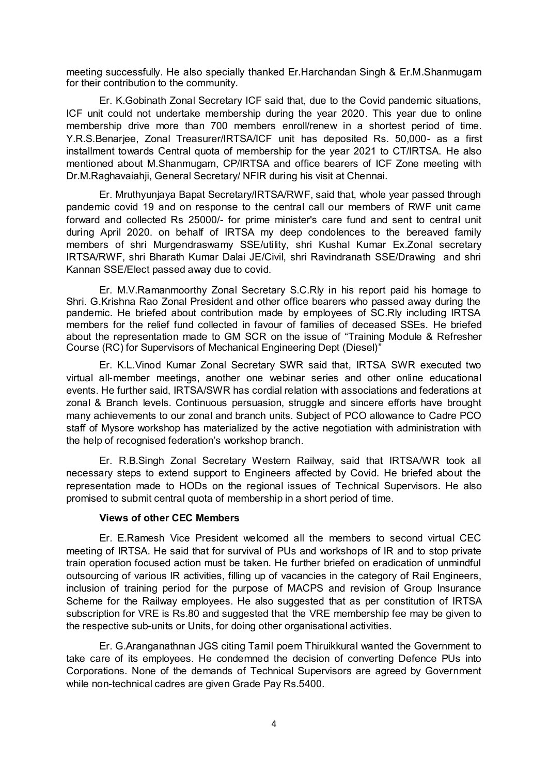meeting successfully. He also specially thanked Er.Harchandan Singh & Er.M.Shanmugam for their contribution to the community.

Er. K.Gobinath Zonal Secretary ICF said that, due to the Covid pandemic situations, ICF unit could not undertake membership during the year 2020. This year due to online membership drive more than 700 members enroll/renew in a shortest period of time. Y.R.S.Benarjee, Zonal Treasurer/IRTSA/ICF unit has deposited Rs. 50,000- as a first installment towards Central quota of membership for the year 2021 to CT/IRTSA. He also mentioned about M.Shanmugam, CP/IRTSA and office bearers of ICF Zone meeting with Dr.M.Raghavaiahji, General Secretary/ NFIR during his visit at Chennai.

Er. Mruthyunjaya Bapat Secretary/IRTSA/RWF, said that, whole year passed through pandemic covid 19 and on response to the central call our members of RWF unit came forward and collected Rs 25000/- for prime minister's care fund and sent to central unit during April 2020. on behalf of IRTSA my deep condolences to the bereaved family members of shri Murgendraswamy SSE/utility, shri Kushal Kumar Ex.Zonal secretary IRTSA/RWF, shri Bharath Kumar Dalai JE/Civil, shri Ravindranath SSE/Drawing and shri Kannan SSE/Elect passed away due to covid.

Er. M.V.Ramanmoorthy Zonal Secretary S.C.Rly in his report paid his homage to Shri. G.Krishna Rao Zonal President and other office bearers who passed away during the pandemic. He briefed about contribution made by employees of SC.Rly including IRTSA members for the relief fund collected in favour of families of deceased SSEs. He briefed about the representation made to GM SCR on the issue of "Training Module & Refresher Course (RC) for Supervisors of Mechanical Engineering Dept (Diesel)"

Er. K.L.Vinod Kumar Zonal Secretary SWR said that, IRTSA SWR executed two virtual all-member meetings, another one webinar series and other online educational events. He further said, IRTSA/SWR has cordial relation with associations and federations at zonal & Branch levels. Continuous persuasion, struggle and sincere efforts have brought many achievements to our zonal and branch units. Subject of PCO allowance to Cadre PCO staff of Mysore workshop has materialized by the active negotiation with administration with the help of recognised federation's workshop branch.

Er. R.B.Singh Zonal Secretary Western Railway, said that IRTSA/WR took all necessary steps to extend support to Engineers affected by Covid. He briefed about the representation made to HODs on the regional issues of Technical Supervisors. He also promised to submit central quota of membership in a short period of time.

## **Views of other CEC Members**

Er. E.Ramesh Vice President welcomed all the members to second virtual CEC meeting of IRTSA. He said that for survival of PUs and workshops of IR and to stop private train operation focused action must be taken. He further briefed on eradication of unmindful outsourcing of various IR activities, filling up of vacancies in the category of Rail Engineers, inclusion of training period for the purpose of MACPS and revision of Group Insurance Scheme for the Railway employees. He also suggested that as per constitution of IRTSA subscription for VRE is Rs.80 and suggested that the VRE membership fee may be given to the respective sub-units or Units, for doing other organisational activities.

Er. G.Aranganathnan JGS citing Tamil poem Thiruikkural wanted the Government to take care of its employees. He condemned the decision of converting Defence PUs into Corporations. None of the demands of Technical Supervisors are agreed by Government while non-technical cadres are given Grade Pay Rs.5400.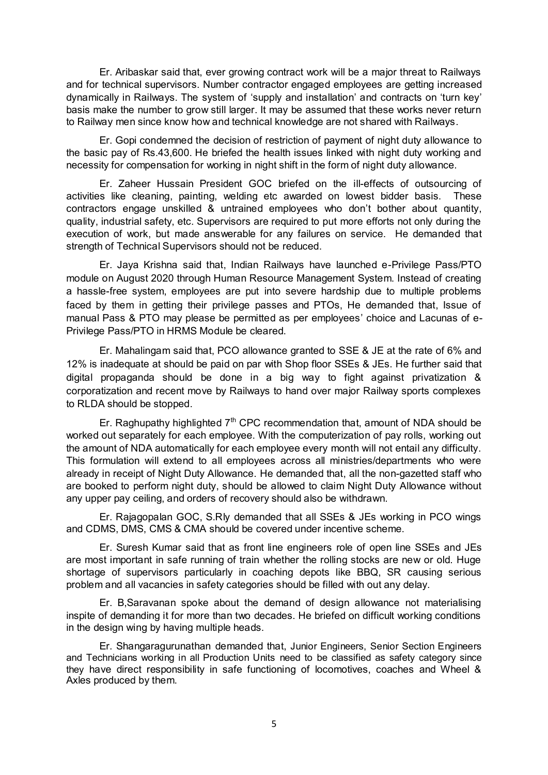Er. Aribaskar said that, ever growing contract work will be a major threat to Railways and for technical supervisors. Number contractor engaged employees are getting increased dynamically in Railways. The system of 'supply and installation' and contracts on 'turn key' basis make the number to grow still larger. It may be assumed that these works never return to Railway men since know how and technical knowledge are not shared with Railways.

Er. Gopi condemned the decision of restriction of payment of night duty allowance to the basic pay of Rs.43,600. He briefed the health issues linked with night duty working and necessity for compensation for working in night shift in the form of night duty allowance.

Er. Zaheer Hussain President GOC briefed on the ill-effects of outsourcing of activities like cleaning, painting, welding etc awarded on lowest bidder basis. These contractors engage unskilled & untrained employees who don't bother about quantity, quality, industrial safety, etc. Supervisors are required to put more efforts not only during the execution of work, but made answerable for any failures on service. He demanded that strength of Technical Supervisors should not be reduced.

Er. Jaya Krishna said that, Indian Railways have launched e-Privilege Pass/PTO module on August 2020 through Human Resource Management System. Instead of creating a hassle-free system, employees are put into severe hardship due to multiple problems faced by them in getting their privilege passes and PTOs, He demanded that, Issue of manual Pass & PTO may please be permitted as per employees' choice and Lacunas of e-Privilege Pass/PTO in HRMS Module be cleared.

Er. Mahalingam said that, PCO allowance granted to SSE & JE at the rate of 6% and 12% is inadequate at should be paid on par with Shop floor SSEs & JEs. He further said that digital propaganda should be done in a big way to fight against privatization & corporatization and recent move by Railways to hand over major Railway sports complexes to RLDA should be stopped.

Er. Raghupathy highlighted  $7<sup>th</sup>$  CPC recommendation that, amount of NDA should be worked out separately for each employee. With the computerization of pay rolls, working out the amount of NDA automatically for each employee every month will not entail any difficulty. This formulation will extend to all employees across all ministries/departments who were already in receipt of Night Duty Allowance. He demanded that, all the non-gazetted staff who are booked to perform night duty, should be allowed to claim Night Duty Allowance without any upper pay ceiling, and orders of recovery should also be withdrawn.

Er. Rajagopalan GOC, S.Rly demanded that all SSEs & JEs working in PCO wings and CDMS, DMS, CMS & CMA should be covered under incentive scheme.

Er. Suresh Kumar said that as front line engineers role of open line SSEs and JEs are most important in safe running of train whether the rolling stocks are new or old. Huge shortage of supervisors particularly in coaching depots like BBQ, SR causing serious problem and all vacancies in safety categories should be filled with out any delay.

Er. B,Saravanan spoke about the demand of design allowance not materialising inspite of demanding it for more than two decades. He briefed on difficult working conditions in the design wing by having multiple heads.

Er. Shangaragurunathan demanded that, Junior Engineers, Senior Section Engineers and Technicians working in all Production Units need to be classified as safety category since they have direct responsibility in safe functioning of locomotives, coaches and Wheel & Axles produced by them.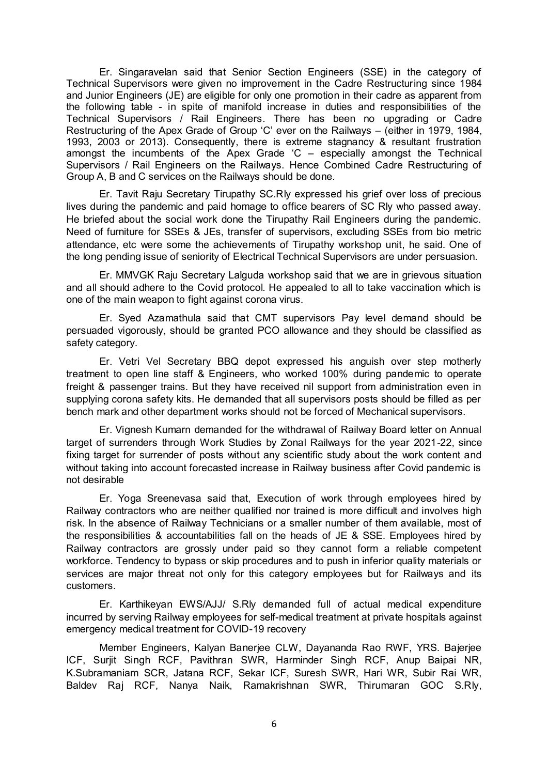Er. Singaravelan said that Senior Section Engineers (SSE) in the category of Technical Supervisors were given no improvement in the Cadre Restructuring since 1984 and Junior Engineers (JE) are eligible for only one promotion in their cadre as apparent from the following table - in spite of manifold increase in duties and responsibilities of the Technical Supervisors / Rail Engineers. There has been no upgrading or Cadre Restructuring of the Apex Grade of Group 'C' ever on the Railways – (either in 1979, 1984, 1993, 2003 or 2013). Consequently, there is extreme stagnancy & resultant frustration amongst the incumbents of the Apex Grade  $C$  – especially amongst the Technical Supervisors / Rail Engineers on the Railways. Hence Combined Cadre Restructuring of Group A, B and C services on the Railways should be done.

Er. Tavit Raju Secretary Tirupathy SC.Rly expressed his grief over loss of precious lives during the pandemic and paid homage to office bearers of SC Rly who passed away. He briefed about the social work done the Tirupathy Rail Engineers during the pandemic. Need of furniture for SSEs & JEs, transfer of supervisors, excluding SSEs from bio metric attendance, etc were some the achievements of Tirupathy workshop unit, he said. One of the long pending issue of seniority of Electrical Technical Supervisors are under persuasion.

Er. MMVGK Raju Secretary Lalguda workshop said that we are in grievous situation and all should adhere to the Covid protocol. He appealed to all to take vaccination which is one of the main weapon to fight against corona virus.

Er. Syed Azamathula said that CMT supervisors Pay level demand should be persuaded vigorously, should be granted PCO allowance and they should be classified as safety category.

Er. Vetri Vel Secretary BBQ depot expressed his anguish over step motherly treatment to open line staff & Engineers, who worked 100% during pandemic to operate freight & passenger trains. But they have received nil support from administration even in supplying corona safety kits. He demanded that all supervisors posts should be filled as per bench mark and other department works should not be forced of Mechanical supervisors.

Er. Vignesh Kumarn demanded for the withdrawal of Railway Board letter on Annual target of surrenders through Work Studies by Zonal Railways for the year 2021-22, since fixing target for surrender of posts without any scientific study about the work content and without taking into account forecasted increase in Railway business after Covid pandemic is not desirable

Er. Yoga Sreenevasa said that, Execution of work through employees hired by Railway contractors who are neither qualified nor trained is more difficult and involves high risk. In the absence of Railway Technicians or a smaller number of them available, most of the responsibilities & accountabilities fall on the heads of JE & SSE. Employees hired by Railway contractors are grossly under paid so they cannot form a reliable competent workforce. Tendency to bypass or skip procedures and to push in inferior quality materials or services are major threat not only for this category employees but for Railways and its customers.

Er. Karthikeyan EWS/AJJ/ S.Rly demanded full of actual medical expenditure incurred by serving Railway employees for self-medical treatment at private hospitals against emergency medical treatment for COVID-19 recovery

Member Engineers, Kalyan Banerjee CLW, Dayananda Rao RWF, YRS. Bajerjee ICF, Surjit Singh RCF, Pavithran SWR, Harminder Singh RCF, Anup Baipai NR, K.Subramaniam SCR, Jatana RCF, Sekar ICF, Suresh SWR, Hari WR, Subir Rai WR, Baldev Raj RCF, Nanya Naik, Ramakrishnan SWR, Thirumaran GOC S.Rly,